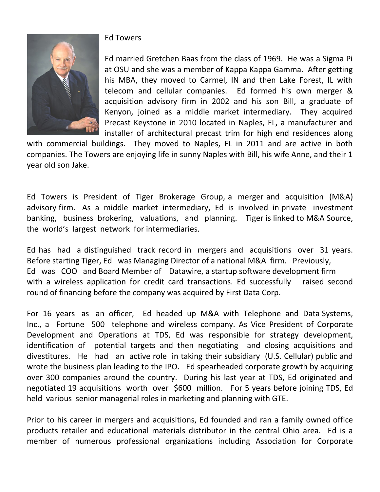

## Ed Towers

Ed married Gretchen Baas from the class of 1969. He was a Sigma Pi at OSU and she was a member of Kappa Kappa Gamma. After getting his MBA, they moved to Carmel, IN and then Lake Forest, IL with telecom and cellular companies. Ed formed his own merger & acquisition advisory firm in 2002 and his son Bill, a graduate of Kenyon, joined as a middle market intermediary. They acquired Precast Keystone in 2010 located in Naples, FL, a manufacturer and installer of architectural precast trim for high end residences along

with commercial buildings. They moved to Naples, FL in 2011 and are active in both companies. The Towers are enjoying life in sunny Naples with Bill, his wife Anne, and their 1 year old son Jake.

Ed Towers is President of Tiger Brokerage Group, a merger and acquisition (M&A) advisory firm. As a middle market intermediary, Ed is involved in private investment banking, business brokering, valuations, and planning. Tiger is linked to M&A Source, the world's largest network for intermediaries.

Ed has had a distinguished track record in mergers and acquisitions over 31 years. Before starting Tiger, Ed was Managing Director of a national M&A firm. Previously, Ed was COO and Board Member of Datawire, a startup software development firm with a wireless application for credit card transactions. Ed successfully raised second round of financing before the company was acquired by First Data Corp.

For 16 years as an officer, Ed headed up M&A with Telephone and Data Systems, Inc., a Fortune 500 telephone and wireless company. As Vice President of Corporate Development and Operations at TDS, Ed was responsible for strategy development, identification of potential targets and then negotiating and closing acquisitions and divestitures. He had an active role in taking their subsidiary (U.S. Cellular) public and wrote the business plan leading to the IPO. Ed spearheaded corporate growth by acquiring over 300 companies around the country. During his last year at TDS, Ed originated and negotiated 19 acquisitions worth over \$600 million. For 5 years before joining TDS, Ed held various senior managerial roles in marketing and planning with GTE.

Prior to his career in mergers and acquisitions, Ed founded and ran a family owned office products retailer and educational materials distributor in the central Ohio area. Ed is a member of numerous professional organizations including Association for Corporate